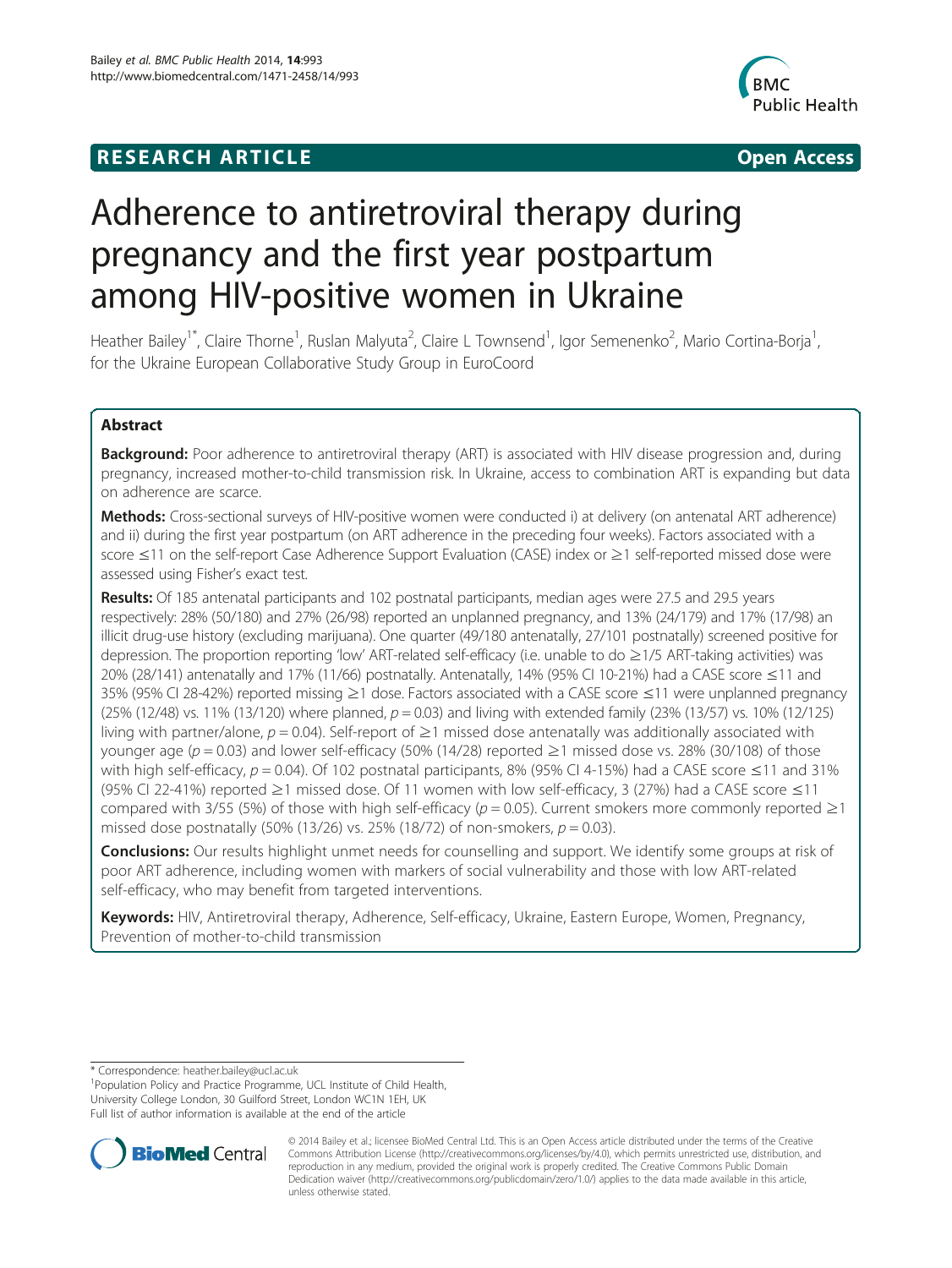## **RESEARCH ARTICLE Example 2008 CONSIDERING CONSIDERING CONSIDERING CONSIDERING CONSIDERING CONSIDERING CONSIDERING CONSIDERING CONSIDERING CONSIDERING CONSIDERING CONSIDERING CONSIDERING CONSIDERING CONSIDERING CONSIDE**



# Adherence to antiretroviral therapy during pregnancy and the first year postpartum among HIV-positive women in Ukraine

Heather Bailey<sup>1\*</sup>, Claire Thorne<sup>1</sup>, Ruslan Malyuta<sup>2</sup>, Claire L Townsend<sup>1</sup>, Igor Semenenko<sup>2</sup>, Mario Cortina-Borja<sup>1</sup> , for the Ukraine European Collaborative Study Group in EuroCoord

## Abstract

**Background:** Poor adherence to antiretroviral therapy (ART) is associated with HIV disease progression and, during pregnancy, increased mother-to-child transmission risk. In Ukraine, access to combination ART is expanding but data on adherence are scarce.

Methods: Cross-sectional surveys of HIV-positive women were conducted i) at delivery (on antenatal ART adherence) and ii) during the first year postpartum (on ART adherence in the preceding four weeks). Factors associated with a score ≤11 on the self-report Case Adherence Support Evaluation (CASE) index or ≥1 self-reported missed dose were assessed using Fisher's exact test.

Results: Of 185 antenatal participants and 102 postnatal participants, median ages were 27.5 and 29.5 years respectively: 28% (50/180) and 27% (26/98) reported an unplanned pregnancy, and 13% (24/179) and 17% (17/98) an illicit drug-use history (excluding marijuana). One quarter (49/180 antenatally, 27/101 postnatally) screened positive for depression. The proportion reporting 'low' ART-related self-efficacy (i.e. unable to do ≥1/5 ART-taking activities) was 20% (28/141) antenatally and 17% (11/66) postnatally. Antenatally, 14% (95% CI 10-21%) had a CASE score ≤11 and 35% (95% CI 28-42%) reported missing ≥1 dose. Factors associated with a CASE score ≤11 were unplanned pregnancy (25% (12/48) vs. 11% (13/120) where planned,  $p = 0.03$ ) and living with extended family (23% (13/57) vs. 10% (12/125) living with partner/alone,  $p = 0.04$ ). Self-report of  $\geq 1$  missed dose antenatally was additionally associated with younger age ( $p = 0.03$ ) and lower self-efficacy (50% (14/28) reported  $\geq 1$  missed dose vs. 28% (30/108) of those with high self-efficacy,  $p = 0.04$ ). Of 102 postnatal participants, 8% (95% CI 4-15%) had a CASE score  $\leq$ 11 and 31% (95% CI 22-41%) reported ≥1 missed dose. Of 11 women with low self-efficacy, 3 (27%) had a CASE score ≤11 compared with 3/55 (5%) of those with high self-efficacy ( $p = 0.05$ ). Current smokers more commonly reported  $\geq 1$ missed dose postnatally (50% (13/26) vs. 25% (18/72) of non-smokers,  $p = 0.03$ ).

**Conclusions:** Our results highlight unmet needs for counselling and support. We identify some groups at risk of poor ART adherence, including women with markers of social vulnerability and those with low ART-related self-efficacy, who may benefit from targeted interventions.

Keywords: HIV, Antiretroviral therapy, Adherence, Self-efficacy, Ukraine, Eastern Europe, Women, Pregnancy, Prevention of mother-to-child transmission

\* Correspondence: [heather.bailey@ucl.ac.uk](mailto:heather.bailey@ucl.ac.uk) <sup>1</sup>

<sup>1</sup>Population Policy and Practice Programme, UCL Institute of Child Health, University College London, 30 Guilford Street, London WC1N 1EH, UK Full list of author information is available at the end of the article



© 2014 Bailey et al.; licensee BioMed Central Ltd. This is an Open Access article distributed under the terms of the Creative Commons Attribution License [\(http://creativecommons.org/licenses/by/4.0\)](http://creativecommons.org/licenses/by/4.0), which permits unrestricted use, distribution, and reproduction in any medium, provided the original work is properly credited. The Creative Commons Public Domain Dedication waiver [\(http://creativecommons.org/publicdomain/zero/1.0/](http://creativecommons.org/publicdomain/zero/1.0/)) applies to the data made available in this article, unless otherwise stated.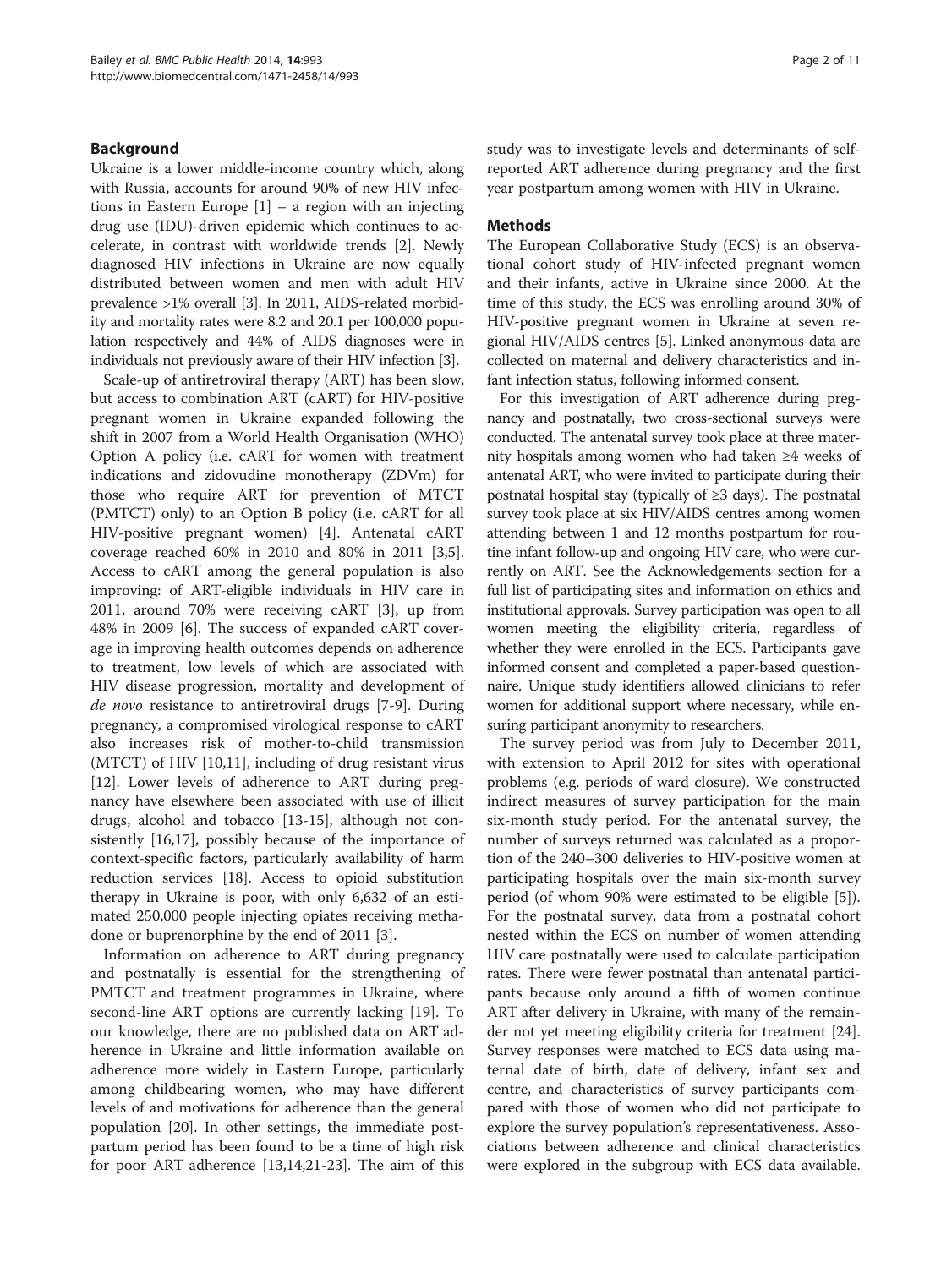## Background

Ukraine is a lower middle-income country which, along with Russia, accounts for around 90% of new HIV infections in Eastern Europe  $[1]$  $[1]$  – a region with an injecting drug use (IDU)-driven epidemic which continues to accelerate, in contrast with worldwide trends [[2\]](#page-9-0). Newly diagnosed HIV infections in Ukraine are now equally distributed between women and men with adult HIV prevalence >1% overall [\[3\]](#page-9-0). In 2011, AIDS-related morbidity and mortality rates were 8.2 and 20.1 per 100,000 population respectively and 44% of AIDS diagnoses were in individuals not previously aware of their HIV infection [[3](#page-9-0)].

Scale-up of antiretroviral therapy (ART) has been slow, but access to combination ART (cART) for HIV-positive pregnant women in Ukraine expanded following the shift in 2007 from a World Health Organisation (WHO) Option A policy (i.e. cART for women with treatment indications and zidovudine monotherapy (ZDVm) for those who require ART for prevention of MTCT (PMTCT) only) to an Option B policy (i.e. cART for all HIV-positive pregnant women) [[4\]](#page-9-0). Antenatal cART coverage reached 60% in 2010 and 80% in 2011 [\[3,5](#page-9-0)]. Access to cART among the general population is also improving: of ART-eligible individuals in HIV care in 2011, around 70% were receiving cART [\[3](#page-9-0)], up from 48% in 2009 [[6\]](#page-9-0). The success of expanded cART coverage in improving health outcomes depends on adherence to treatment, low levels of which are associated with HIV disease progression, mortality and development of de novo resistance to antiretroviral drugs [[7-9\]](#page-9-0). During pregnancy, a compromised virological response to cART also increases risk of mother-to-child transmission (MTCT) of HIV [[10](#page-9-0),[11](#page-10-0)], including of drug resistant virus [[12\]](#page-10-0). Lower levels of adherence to ART during pregnancy have elsewhere been associated with use of illicit drugs, alcohol and tobacco [[13-15](#page-10-0)], although not consistently [\[16,17](#page-10-0)], possibly because of the importance of context-specific factors, particularly availability of harm reduction services [\[18](#page-10-0)]. Access to opioid substitution therapy in Ukraine is poor, with only 6,632 of an estimated 250,000 people injecting opiates receiving methadone or buprenorphine by the end of 2011 [\[3](#page-9-0)].

Information on adherence to ART during pregnancy and postnatally is essential for the strengthening of PMTCT and treatment programmes in Ukraine, where second-line ART options are currently lacking [[19](#page-10-0)]. To our knowledge, there are no published data on ART adherence in Ukraine and little information available on adherence more widely in Eastern Europe, particularly among childbearing women, who may have different levels of and motivations for adherence than the general population [\[20](#page-10-0)]. In other settings, the immediate postpartum period has been found to be a time of high risk for poor ART adherence [\[13,14,21](#page-10-0)-[23](#page-10-0)]. The aim of this study was to investigate levels and determinants of selfreported ART adherence during pregnancy and the first year postpartum among women with HIV in Ukraine.

## Methods

The European Collaborative Study (ECS) is an observational cohort study of HIV-infected pregnant women and their infants, active in Ukraine since 2000. At the time of this study, the ECS was enrolling around 30% of HIV-positive pregnant women in Ukraine at seven regional HIV/AIDS centres [\[5\]](#page-9-0). Linked anonymous data are collected on maternal and delivery characteristics and infant infection status, following informed consent.

For this investigation of ART adherence during pregnancy and postnatally, two cross-sectional surveys were conducted. The antenatal survey took place at three maternity hospitals among women who had taken ≥4 weeks of antenatal ART, who were invited to participate during their postnatal hospital stay (typically of ≥3 days). The postnatal survey took place at six HIV/AIDS centres among women attending between 1 and 12 months postpartum for routine infant follow-up and ongoing HIV care, who were currently on ART. See the Acknowledgements section for a full list of participating sites and information on ethics and institutional approvals. Survey participation was open to all women meeting the eligibility criteria, regardless of whether they were enrolled in the ECS. Participants gave informed consent and completed a paper-based questionnaire. Unique study identifiers allowed clinicians to refer women for additional support where necessary, while ensuring participant anonymity to researchers.

The survey period was from July to December 2011, with extension to April 2012 for sites with operational problems (e.g. periods of ward closure). We constructed indirect measures of survey participation for the main six-month study period. For the antenatal survey, the number of surveys returned was calculated as a proportion of the 240–300 deliveries to HIV-positive women at participating hospitals over the main six-month survey period (of whom 90% were estimated to be eligible [\[5](#page-9-0)]). For the postnatal survey, data from a postnatal cohort nested within the ECS on number of women attending HIV care postnatally were used to calculate participation rates. There were fewer postnatal than antenatal participants because only around a fifth of women continue ART after delivery in Ukraine, with many of the remainder not yet meeting eligibility criteria for treatment [\[24](#page-10-0)]. Survey responses were matched to ECS data using maternal date of birth, date of delivery, infant sex and centre, and characteristics of survey participants compared with those of women who did not participate to explore the survey population's representativeness. Associations between adherence and clinical characteristics were explored in the subgroup with ECS data available.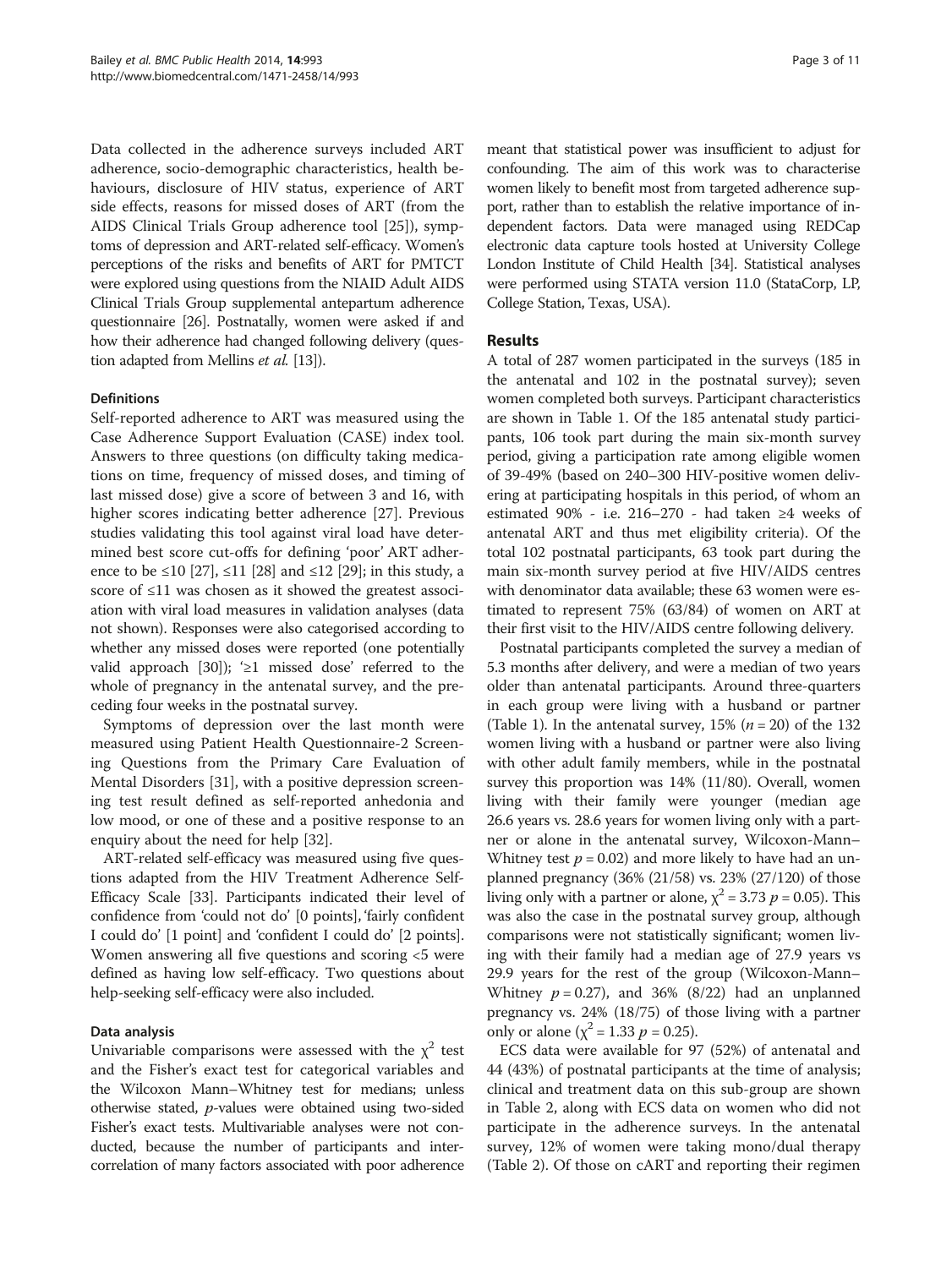Data collected in the adherence surveys included ART adherence, socio-demographic characteristics, health behaviours, disclosure of HIV status, experience of ART side effects, reasons for missed doses of ART (from the AIDS Clinical Trials Group adherence tool [\[25](#page-10-0)]), symptoms of depression and ART-related self-efficacy. Women's perceptions of the risks and benefits of ART for PMTCT were explored using questions from the NIAID Adult AIDS Clinical Trials Group supplemental antepartum adherence questionnaire [\[26](#page-10-0)]. Postnatally, women were asked if and how their adherence had changed following delivery (question adapted from Mellins et al. [\[13\]](#page-10-0)).

## Definitions

Self-reported adherence to ART was measured using the Case Adherence Support Evaluation (CASE) index tool. Answers to three questions (on difficulty taking medications on time, frequency of missed doses, and timing of last missed dose) give a score of between 3 and 16, with higher scores indicating better adherence [[27](#page-10-0)]. Previous studies validating this tool against viral load have determined best score cut-offs for defining 'poor' ART adher-ence to be ≤10 [[27](#page-10-0)], ≤11 [\[28\]](#page-10-0) and ≤12 [\[29\]](#page-10-0); in this study, a score of ≤11 was chosen as it showed the greatest association with viral load measures in validation analyses (data not shown). Responses were also categorised according to whether any missed doses were reported (one potentially valid approach [[30\]](#page-10-0)); ' $\geq$ 1 missed dose' referred to the whole of pregnancy in the antenatal survey, and the preceding four weeks in the postnatal survey.

Symptoms of depression over the last month were measured using Patient Health Questionnaire-2 Screening Questions from the Primary Care Evaluation of Mental Disorders [\[31\]](#page-10-0), with a positive depression screening test result defined as self-reported anhedonia and low mood, or one of these and a positive response to an enquiry about the need for help [\[32\]](#page-10-0).

ART-related self-efficacy was measured using five questions adapted from the HIV Treatment Adherence Self-Efficacy Scale [\[33\]](#page-10-0). Participants indicated their level of confidence from 'could not do' [0 points], 'fairly confident I could do' [1 point] and 'confident I could do' [2 points]. Women answering all five questions and scoring <5 were defined as having low self-efficacy. Two questions about help-seeking self-efficacy were also included.

## Data analysis

Univariable comparisons were assessed with the  $\chi^2$  test and the Fisher's exact test for categorical variables and the Wilcoxon Mann–Whitney test for medians; unless otherwise stated, p-values were obtained using two-sided Fisher's exact tests. Multivariable analyses were not conducted, because the number of participants and intercorrelation of many factors associated with poor adherence

meant that statistical power was insufficient to adjust for confounding. The aim of this work was to characterise women likely to benefit most from targeted adherence support, rather than to establish the relative importance of independent factors. Data were managed using REDCap electronic data capture tools hosted at University College London Institute of Child Health [\[34](#page-10-0)]. Statistical analyses were performed using STATA version 11.0 (StataCorp, LP, College Station, Texas, USA).

## Results

A total of 287 women participated in the surveys (185 in the antenatal and 102 in the postnatal survey); seven women completed both surveys. Participant characteristics are shown in Table [1](#page-3-0). Of the 185 antenatal study participants, 106 took part during the main six-month survey period, giving a participation rate among eligible women of 39-49% (based on 240–300 HIV-positive women delivering at participating hospitals in this period, of whom an estimated 90% - i.e. 216–270 - had taken ≥4 weeks of antenatal ART and thus met eligibility criteria). Of the total 102 postnatal participants, 63 took part during the main six-month survey period at five HIV/AIDS centres with denominator data available; these 63 women were estimated to represent 75% (63/84) of women on ART at their first visit to the HIV/AIDS centre following delivery.

Postnatal participants completed the survey a median of 5.3 months after delivery, and were a median of two years older than antenatal participants. Around three-quarters in each group were living with a husband or partner (Table [1\)](#page-3-0). In the antenatal survey, 15% ( $n = 20$ ) of the 132 women living with a husband or partner were also living with other adult family members, while in the postnatal survey this proportion was 14% (11/80). Overall, women living with their family were younger (median age 26.6 years vs. 28.6 years for women living only with a partner or alone in the antenatal survey, Wilcoxon-Mann– Whitney test  $p = 0.02$ ) and more likely to have had an unplanned pregnancy (36% (21/58) vs. 23% (27/120) of those living only with a partner or alone,  $\chi^2$  = 3.73  $p$  = 0.05). This was also the case in the postnatal survey group, although comparisons were not statistically significant; women living with their family had a median age of 27.9 years vs 29.9 years for the rest of the group (Wilcoxon-Mann– Whitney  $p = 0.27$ , and 36% (8/22) had an unplanned pregnancy vs. 24% (18/75) of those living with a partner only or alone ( $\chi^2$  = 1.33  $p$  = 0.25).

ECS data were available for 97 (52%) of antenatal and 44 (43%) of postnatal participants at the time of analysis; clinical and treatment data on this sub-group are shown in Table [2,](#page-4-0) along with ECS data on women who did not participate in the adherence surveys. In the antenatal survey, 12% of women were taking mono/dual therapy (Table [2](#page-4-0)). Of those on cART and reporting their regimen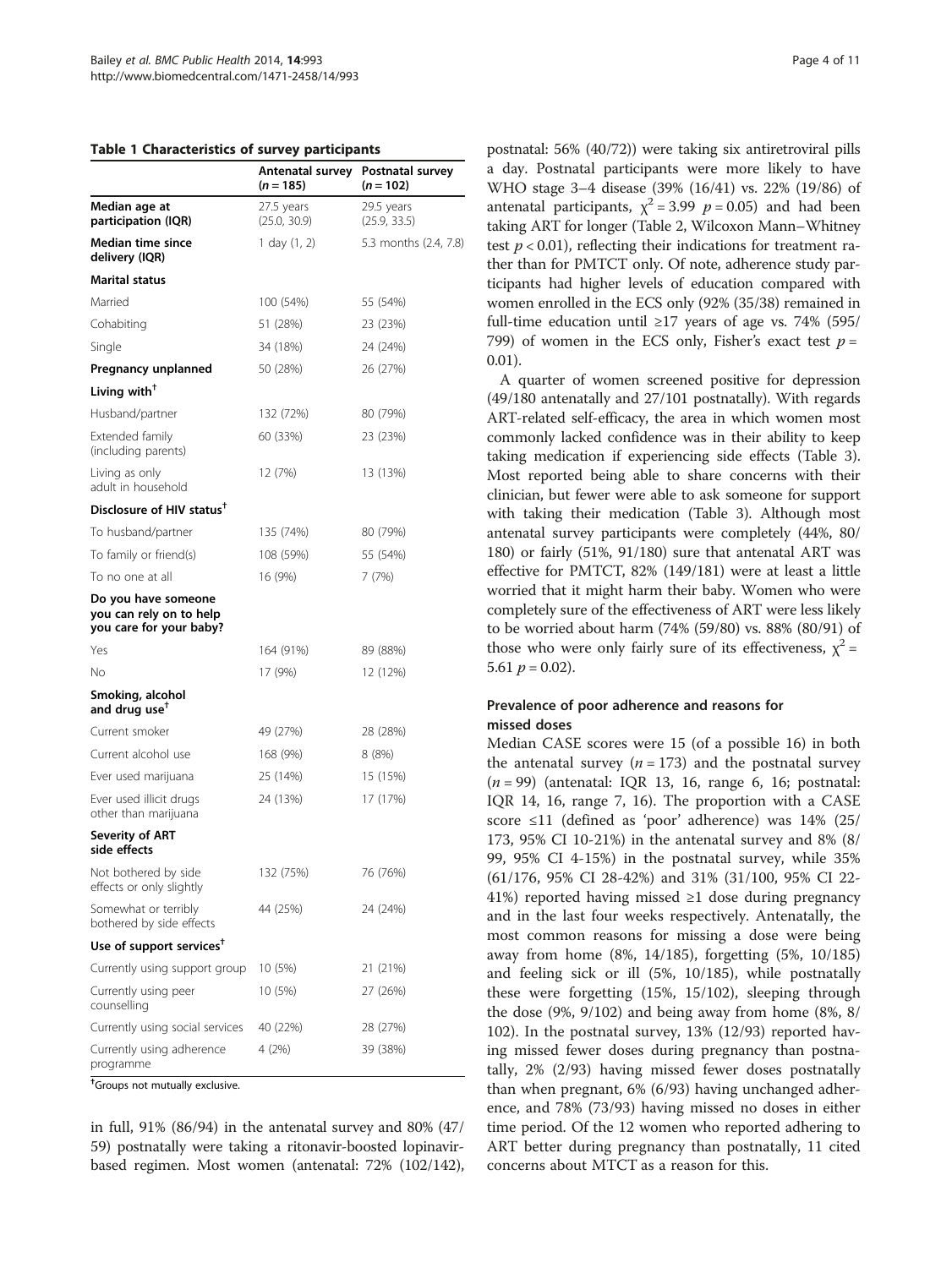<span id="page-3-0"></span>

|                                                                           | Antenatal survey<br>$(n = 185)$ | Postnatal survey<br>$(n = 102)$ |
|---------------------------------------------------------------------------|---------------------------------|---------------------------------|
| Median age at<br>participation (IQR)                                      | 27.5 years<br>(25.0, 30.9)      | 29.5 years<br>(25.9, 33.5)      |
| Median time since<br>delivery (IQR)                                       | 1 day (1, 2)                    | 5.3 months (2.4, 7.8)           |
| <b>Marital status</b>                                                     |                                 |                                 |
| Married                                                                   | 100 (54%)                       | 55 (54%)                        |
| Cohabiting                                                                | 51 (28%)                        | 23 (23%)                        |
| Single                                                                    | 34 (18%)                        | 24 (24%)                        |
| Pregnancy unplanned                                                       | 50 (28%)                        | 26 (27%)                        |
| Living with <sup>+</sup>                                                  |                                 |                                 |
| Husband/partner                                                           | 132 (72%)                       | 80 (79%)                        |
| Extended family<br>(including parents)                                    | 60 (33%)                        | 23 (23%)                        |
| Living as only<br>adult in household                                      | 12 (7%)                         | 13 (13%)                        |
| Disclosure of HIV status <sup>†</sup>                                     |                                 |                                 |
| To husband/partner                                                        | 135 (74%)                       | 80 (79%)                        |
| To family or friend(s)                                                    | 108 (59%)                       | 55 (54%)                        |
| To no one at all                                                          | 16 (9%)                         | 7 (7%)                          |
| Do you have someone<br>you can rely on to help<br>you care for your baby? |                                 |                                 |
| Yes                                                                       | 164 (91%)                       | 89 (88%)                        |
| No                                                                        | 17 (9%)                         | 12 (12%)                        |
| Smoking, alcohol<br>and drug use <sup><math>†</math></sup>                |                                 |                                 |
| Current smoker                                                            | 49 (27%)                        | 28 (28%)                        |
| Current alcohol use                                                       | 168 (9%)                        | 8(8%)                           |
| Ever used marijuana                                                       | 25 (14%)                        | 15 (15%)                        |
| Ever used illicit drugs<br>other than marijuana                           | 24 (13%)                        | 17 (17%)                        |
| Severity of ART<br>side effects                                           |                                 |                                 |
| Not bothered by side<br>effects or only slightly                          | 132 (75%)                       | 76 (76%)                        |
| Somewhat or terribly<br>bothered by side effects                          | 44 (25%)                        | 24 (24%)                        |
| Use of support services <sup>+</sup>                                      |                                 |                                 |
| Currently using support group                                             | 10 (5%)                         | 21 (21%)                        |
| Currently using peer<br>counselling                                       | 10 (5%)                         | 27 (26%)                        |
| Currently using social services                                           | 40 (22%)                        | 28 (27%)                        |
| Currently using adherence<br>programme                                    | 4 (2%)                          | 39 (38%)                        |

† Groups not mutually exclusive.

in full, 91% (86/94) in the antenatal survey and 80% (47/ 59) postnatally were taking a ritonavir-boosted lopinavirbased regimen. Most women (antenatal: 72% (102/142),

postnatal: 56% (40/72)) were taking six antiretroviral pills a day. Postnatal participants were more likely to have WHO stage 3–4 disease (39% (16/41) vs. 22% (19/86) of antenatal participants,  $\chi^2$  = 3.99  $p$  = 0.05) and had been taking ART for longer (Table [2,](#page-4-0) Wilcoxon Mann–Whitney test  $p < 0.01$ ), reflecting their indications for treatment rather than for PMTCT only. Of note, adherence study participants had higher levels of education compared with women enrolled in the ECS only (92% (35/38) remained in full-time education until ≥17 years of age vs. 74% (595/ 799) of women in the ECS only, Fisher's exact test  $p =$ 0.01).

A quarter of women screened positive for depression (49/180 antenatally and 27/101 postnatally). With regards ART-related self-efficacy, the area in which women most commonly lacked confidence was in their ability to keep taking medication if experiencing side effects (Table [3](#page-5-0)). Most reported being able to share concerns with their clinician, but fewer were able to ask someone for support with taking their medication (Table [3](#page-5-0)). Although most antenatal survey participants were completely (44%, 80/ 180) or fairly (51%, 91/180) sure that antenatal ART was effective for PMTCT, 82% (149/181) were at least a little worried that it might harm their baby. Women who were completely sure of the effectiveness of ART were less likely to be worried about harm (74% (59/80) vs. 88% (80/91) of those who were only fairly sure of its effectiveness,  $\chi^2$  = 5.61  $p = 0.02$ ).

## Prevalence of poor adherence and reasons for missed doses

Median CASE scores were 15 (of a possible 16) in both the antenatal survey ( $n = 173$ ) and the postnatal survey  $(n = 99)$  (antenatal: IQR 13, 16, range 6, 16; postnatal: IQR 14, 16, range 7, 16). The proportion with a CASE score ≤11 (defined as 'poor' adherence) was 14% (25/ 173, 95% CI 10-21%) in the antenatal survey and 8% (8/ 99, 95% CI 4-15%) in the postnatal survey, while 35% (61/176, 95% CI 28-42%) and 31% (31/100, 95% CI 22- 41%) reported having missed  $\geq 1$  dose during pregnancy and in the last four weeks respectively. Antenatally, the most common reasons for missing a dose were being away from home (8%, 14/185), forgetting (5%, 10/185) and feeling sick or ill (5%, 10/185), while postnatally these were forgetting (15%, 15/102), sleeping through the dose (9%, 9/102) and being away from home (8%, 8/ 102). In the postnatal survey, 13% (12/93) reported having missed fewer doses during pregnancy than postnatally, 2% (2/93) having missed fewer doses postnatally than when pregnant, 6% (6/93) having unchanged adherence, and 78% (73/93) having missed no doses in either time period. Of the 12 women who reported adhering to ART better during pregnancy than postnatally, 11 cited concerns about MTCT as a reason for this.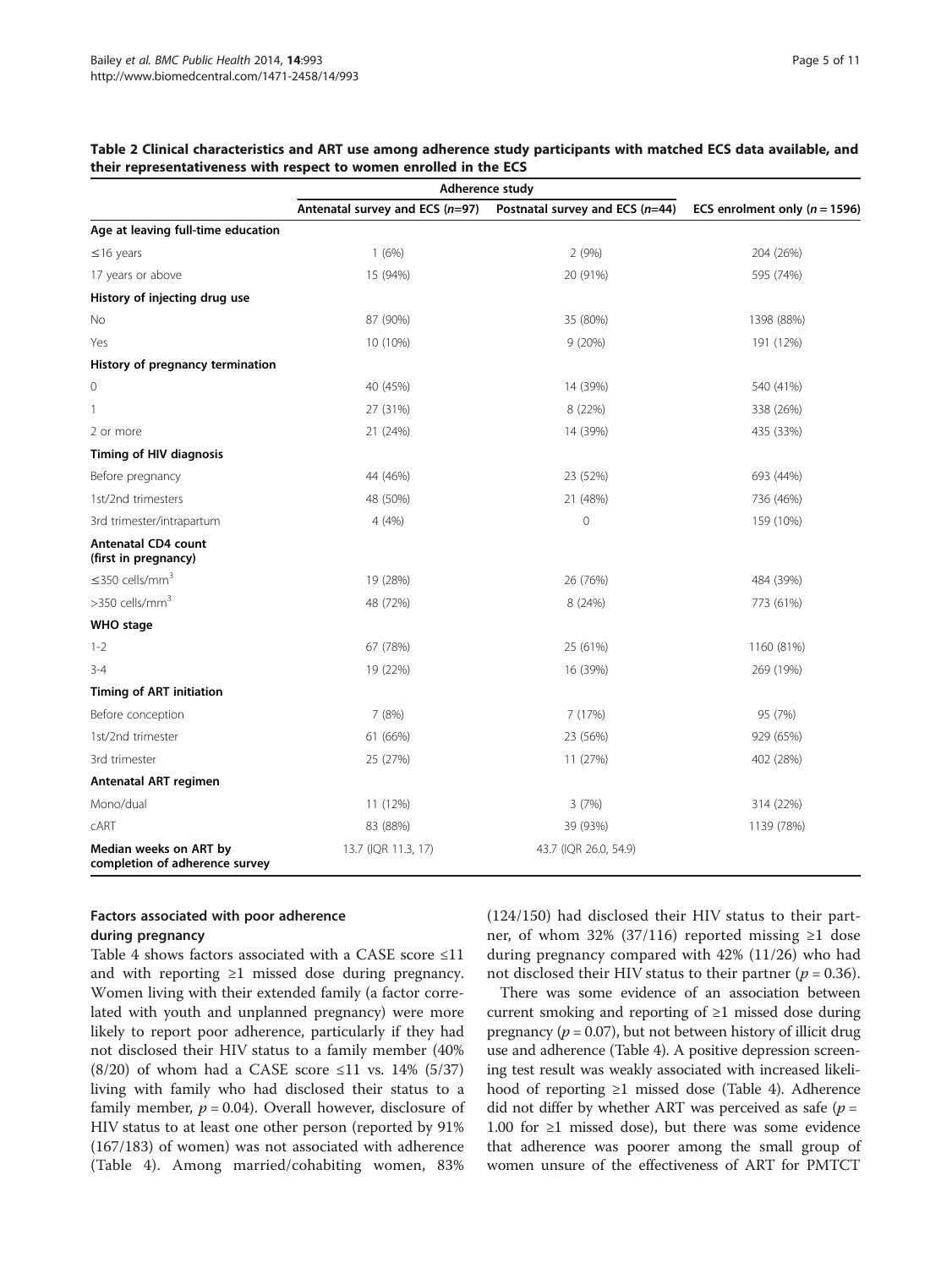|                                                          | Adherence study                 |                                 |                                   |  |
|----------------------------------------------------------|---------------------------------|---------------------------------|-----------------------------------|--|
|                                                          | Antenatal survey and ECS (n=97) | Postnatal survey and ECS (n=44) | ECS enrolment only ( $n = 1596$ ) |  |
| Age at leaving full-time education                       |                                 |                                 |                                   |  |
| $\leq$ 16 years                                          | 1(6%)                           | 2(9%)                           | 204 (26%)                         |  |
| 17 years or above                                        | 15 (94%)                        | 20 (91%)                        | 595 (74%)                         |  |
| History of injecting drug use                            |                                 |                                 |                                   |  |
| Νo                                                       | 87 (90%)                        | 35 (80%)                        | 1398 (88%)                        |  |
| Yes                                                      | 10 (10%)                        | 9(20%)                          | 191 (12%)                         |  |
| History of pregnancy termination                         |                                 |                                 |                                   |  |
| 0                                                        | 40 (45%)                        | 14 (39%)                        | 540 (41%)                         |  |
| 1                                                        | 27 (31%)                        | 8 (22%)                         | 338 (26%)                         |  |
| 2 or more                                                | 21 (24%)                        | 14 (39%)                        | 435 (33%)                         |  |
| Timing of HIV diagnosis                                  |                                 |                                 |                                   |  |
| Before pregnancy                                         | 44 (46%)                        | 23 (52%)                        | 693 (44%)                         |  |
| 1st/2nd trimesters                                       | 48 (50%)                        | 21 (48%)                        | 736 (46%)                         |  |
| 3rd trimester/intrapartum                                | 4(4%)                           | 0                               | 159 (10%)                         |  |
| Antenatal CD4 count<br>(first in pregnancy)              |                                 |                                 |                                   |  |
| $\leq$ 350 cells/mm <sup>3</sup>                         | 19 (28%)                        | 26 (76%)                        | 484 (39%)                         |  |
| >350 cells/mm <sup>3</sup>                               | 48 (72%)                        | 8 (24%)                         | 773 (61%)                         |  |
| <b>WHO</b> stage                                         |                                 |                                 |                                   |  |
| $1 - 2$                                                  | 67 (78%)                        | 25 (61%)                        | 1160 (81%)                        |  |
| $3 - 4$                                                  | 19 (22%)                        | 16 (39%)                        | 269 (19%)                         |  |
| <b>Timing of ART initiation</b>                          |                                 |                                 |                                   |  |
| Before conception                                        | 7(8%)                           | 7(17%)                          | 95 (7%)                           |  |
| 1st/2nd trimester                                        | 61 (66%)                        | 23 (56%)                        | 929 (65%)                         |  |
| 3rd trimester                                            | 25 (27%)                        | 11 (27%)                        | 402 (28%)                         |  |
| Antenatal ART regimen                                    |                                 |                                 |                                   |  |
| Mono/dual                                                | 11 (12%)                        | 3(7%)                           | 314 (22%)                         |  |
| <b>CART</b>                                              | 83 (88%)                        | 39 (93%)                        | 1139 (78%)                        |  |
| Median weeks on ART by<br>completion of adherence survey | 13.7 (IQR 11.3, 17)             | 43.7 (IQR 26.0, 54.9)           |                                   |  |

## <span id="page-4-0"></span>Table 2 Clinical characteristics and ART use among adherence study participants with matched ECS data available, and their representativeness with respect to women enrolled in the ECS

## Factors associated with poor adherence

## during pregnancy

Table [4](#page-6-0) shows factors associated with a CASE score ≤11 and with reporting ≥1 missed dose during pregnancy. Women living with their extended family (a factor correlated with youth and unplanned pregnancy) were more likely to report poor adherence, particularly if they had not disclosed their HIV status to a family member (40% (8/20) of whom had a CASE score ≤11 vs. 14% (5/37) living with family who had disclosed their status to a family member,  $p = 0.04$ ). Overall however, disclosure of HIV status to at least one other person (reported by 91% (167/183) of women) was not associated with adherence (Table [4\)](#page-6-0). Among married/cohabiting women, 83%

(124/150) had disclosed their HIV status to their partner, of whom 32% (37/116) reported missing ≥1 dose during pregnancy compared with 42% (11/26) who had not disclosed their HIV status to their partner ( $p = 0.36$ ).

There was some evidence of an association between current smoking and reporting of  $\geq 1$  missed dose during pregnancy ( $p = 0.07$ ), but not between history of illicit drug use and adherence (Table [4\)](#page-6-0). A positive depression screening test result was weakly associated with increased likelihood of reporting ≥1 missed dose (Table [4\)](#page-6-0). Adherence did not differ by whether ART was perceived as safe  $(p =$ 1.00 for ≥1 missed dose), but there was some evidence that adherence was poorer among the small group of women unsure of the effectiveness of ART for PMTCT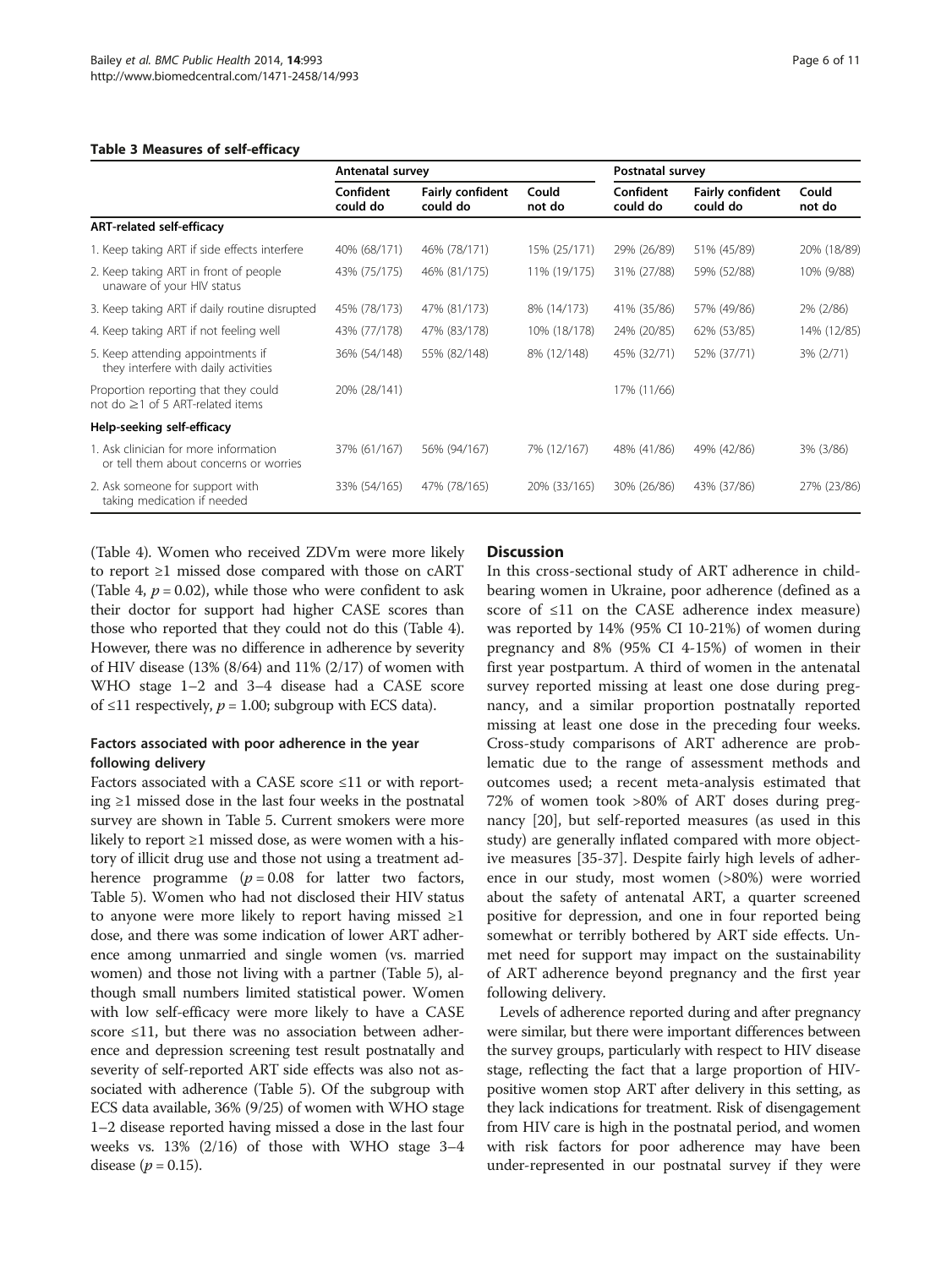## <span id="page-5-0"></span>Table 3 Measures of self-efficacy

|                                                                                 | Antenatal survey      |                                     |                 | Postnatal survey      |                                     |                 |
|---------------------------------------------------------------------------------|-----------------------|-------------------------------------|-----------------|-----------------------|-------------------------------------|-----------------|
|                                                                                 | Confident<br>could do | <b>Fairly confident</b><br>could do | Could<br>not do | Confident<br>could do | <b>Fairly confident</b><br>could do | Could<br>not do |
| <b>ART-related self-efficacy</b>                                                |                       |                                     |                 |                       |                                     |                 |
| 1. Keep taking ART if side effects interfere                                    | 40% (68/171)          | 46% (78/171)                        | 15% (25/171)    | 29% (26/89)           | 51% (45/89)                         | 20% (18/89)     |
| 2. Keep taking ART in front of people<br>unaware of your HIV status             | 43% (75/175)          | 46% (81/175)                        | 11% (19/175)    | 31% (27/88)           | 59% (52/88)                         | 10% (9/88)      |
| 3. Keep taking ART if daily routine disrupted                                   | 45% (78/173)          | 47% (81/173)                        | 8% (14/173)     | 41% (35/86)           | 57% (49/86)                         | 2% (2/86)       |
| 4. Keep taking ART if not feeling well                                          | 43% (77/178)          | 47% (83/178)                        | 10% (18/178)    | 24% (20/85)           | 62% (53/85)                         | 14% (12/85)     |
| 5. Keep attending appointments if<br>they interfere with daily activities       | 36% (54/148)          | 55% (82/148)                        | 8% (12/148)     | 45% (32/71)           | 52% (37/71)                         | 3% (2/71)       |
| Proportion reporting that they could<br>not do $\geq$ 1 of 5 ART-related items  | 20% (28/141)          |                                     |                 | 17% (11/66)           |                                     |                 |
| Help-seeking self-efficacy                                                      |                       |                                     |                 |                       |                                     |                 |
| 1. Ask clinician for more information<br>or tell them about concerns or worries | 37% (61/167)          | 56% (94/167)                        | 7% (12/167)     | 48% (41/86)           | 49% (42/86)                         | 3% (3/86)       |
| 2. Ask someone for support with<br>taking medication if needed                  | 33% (54/165)          | 47% (78/165)                        | 20% (33/165)    | 30% (26/86)           | 43% (37/86)                         | 27% (23/86)     |

(Table [4\)](#page-6-0). Women who received ZDVm were more likely to report ≥1 missed dose compared with those on cART (Table [4](#page-6-0),  $p = 0.02$ ), while those who were confident to ask their doctor for support had higher CASE scores than those who reported that they could not do this (Table [4](#page-6-0)). However, there was no difference in adherence by severity of HIV disease (13% (8/64) and 11% (2/17) of women with WHO stage 1–2 and 3–4 disease had a CASE score of ≤11 respectively,  $p = 1.00$ ; subgroup with ECS data).

## Factors associated with poor adherence in the year following delivery

Factors associated with a CASE score ≤11 or with reporting ≥1 missed dose in the last four weeks in the postnatal survey are shown in Table [5.](#page-8-0) Current smokers were more likely to report  $\geq 1$  missed dose, as were women with a history of illicit drug use and those not using a treatment adherence programme ( $p = 0.08$  for latter two factors, Table [5](#page-8-0)). Women who had not disclosed their HIV status to anyone were more likely to report having missed ≥1 dose, and there was some indication of lower ART adherence among unmarried and single women (vs. married women) and those not living with a partner (Table [5\)](#page-8-0), although small numbers limited statistical power. Women with low self-efficacy were more likely to have a CASE score ≤11, but there was no association between adherence and depression screening test result postnatally and severity of self-reported ART side effects was also not associated with adherence (Table [5](#page-8-0)). Of the subgroup with ECS data available, 36% (9/25) of women with WHO stage 1–2 disease reported having missed a dose in the last four weeks vs. 13% (2/16) of those with WHO stage 3–4 disease ( $p = 0.15$ ).

## **Discussion**

In this cross-sectional study of ART adherence in childbearing women in Ukraine, poor adherence (defined as a score of ≤11 on the CASE adherence index measure) was reported by 14% (95% CI 10-21%) of women during pregnancy and 8% (95% CI 4-15%) of women in their first year postpartum. A third of women in the antenatal survey reported missing at least one dose during pregnancy, and a similar proportion postnatally reported missing at least one dose in the preceding four weeks. Cross-study comparisons of ART adherence are problematic due to the range of assessment methods and outcomes used; a recent meta-analysis estimated that 72% of women took >80% of ART doses during pregnancy [\[20](#page-10-0)], but self-reported measures (as used in this study) are generally inflated compared with more objective measures [\[35-37](#page-10-0)]. Despite fairly high levels of adherence in our study, most women (>80%) were worried about the safety of antenatal ART, a quarter screened positive for depression, and one in four reported being somewhat or terribly bothered by ART side effects. Unmet need for support may impact on the sustainability of ART adherence beyond pregnancy and the first year following delivery.

Levels of adherence reported during and after pregnancy were similar, but there were important differences between the survey groups, particularly with respect to HIV disease stage, reflecting the fact that a large proportion of HIVpositive women stop ART after delivery in this setting, as they lack indications for treatment. Risk of disengagement from HIV care is high in the postnatal period, and women with risk factors for poor adherence may have been under-represented in our postnatal survey if they were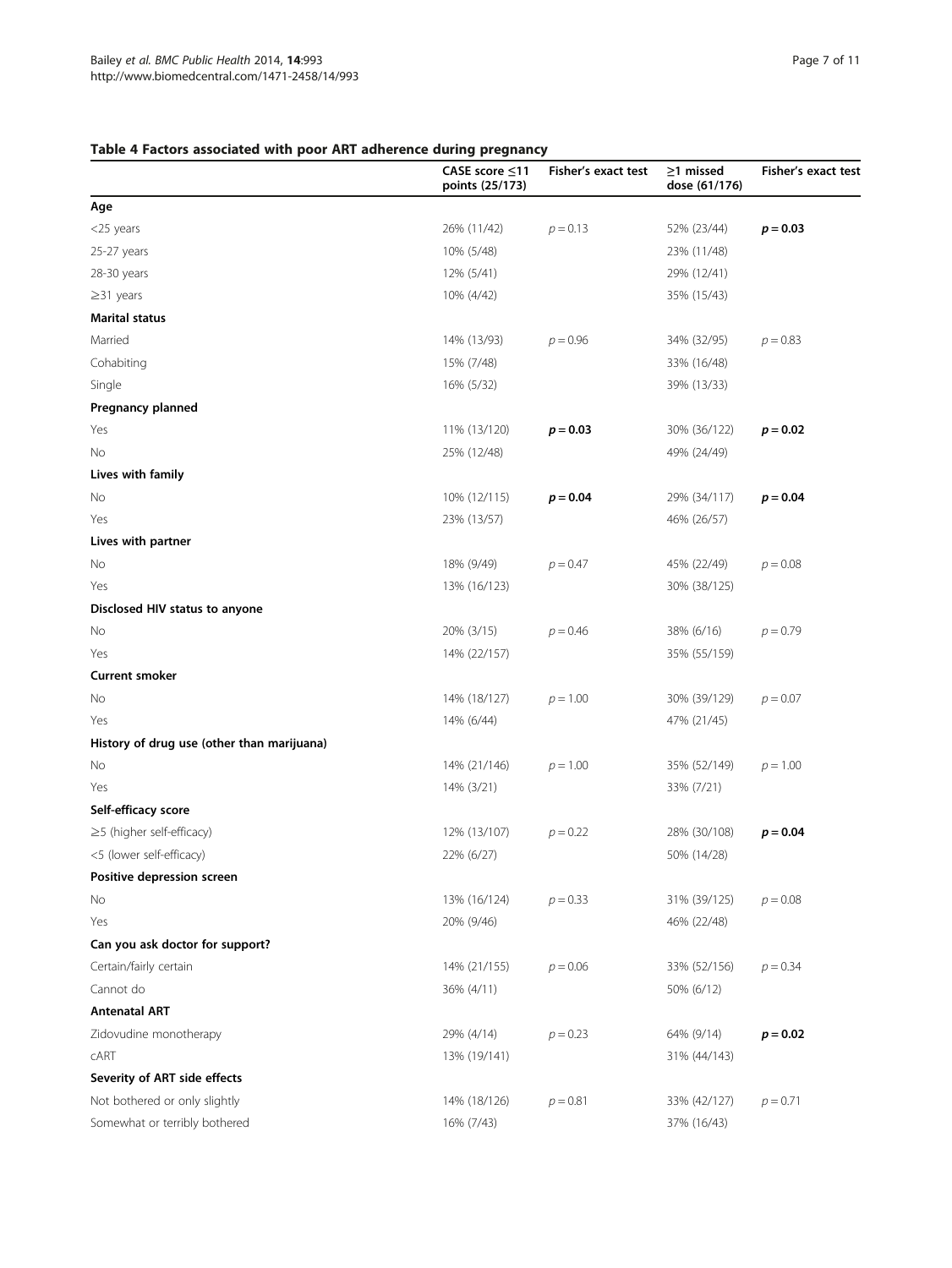## <span id="page-6-0"></span>Table 4 Factors associated with poor ART adherence during pregnancy

|                                            | CASE score ≤11<br>points (25/173) | Fisher's exact test | $\geq$ 1 missed<br>dose (61/176) | Fisher's exact test |
|--------------------------------------------|-----------------------------------|---------------------|----------------------------------|---------------------|
| Age                                        |                                   |                     |                                  |                     |
| <25 years                                  | 26% (11/42)                       | $p = 0.13$          | 52% (23/44)                      | $p = 0.03$          |
| 25-27 years                                | 10% (5/48)                        |                     | 23% (11/48)                      |                     |
| 28-30 years                                | 12% (5/41)                        |                     | 29% (12/41)                      |                     |
| $\geq$ 31 years                            | 10% (4/42)                        |                     | 35% (15/43)                      |                     |
| <b>Marital status</b>                      |                                   |                     |                                  |                     |
| Married                                    | 14% (13/93)                       | $p = 0.96$          | 34% (32/95)                      | $p = 0.83$          |
| Cohabiting                                 | 15% (7/48)                        |                     | 33% (16/48)                      |                     |
| Single                                     | 16% (5/32)                        |                     | 39% (13/33)                      |                     |
| Pregnancy planned                          |                                   |                     |                                  |                     |
| Yes                                        | 11% (13/120)                      | $p = 0.03$          | 30% (36/122)                     | $p = 0.02$          |
| No                                         | 25% (12/48)                       |                     | 49% (24/49)                      |                     |
| Lives with family                          |                                   |                     |                                  |                     |
| No                                         | 10% (12/115)                      | $p = 0.04$          | 29% (34/117)                     | $p = 0.04$          |
| Yes                                        | 23% (13/57)                       |                     | 46% (26/57)                      |                     |
| Lives with partner                         |                                   |                     |                                  |                     |
| No                                         | 18% (9/49)                        | $p = 0.47$          | 45% (22/49)                      | $p = 0.08$          |
| Yes                                        | 13% (16/123)                      |                     | 30% (38/125)                     |                     |
| Disclosed HIV status to anyone             |                                   |                     |                                  |                     |
| No                                         | 20% (3/15)                        | $p = 0.46$          | 38% (6/16)                       | $p = 0.79$          |
| Yes                                        | 14% (22/157)                      |                     | 35% (55/159)                     |                     |
| <b>Current smoker</b>                      |                                   |                     |                                  |                     |
| No                                         | 14% (18/127)                      | $p = 1.00$          | 30% (39/129)                     | $p = 0.07$          |
| Yes                                        | 14% (6/44)                        |                     | 47% (21/45)                      |                     |
| History of drug use (other than marijuana) |                                   |                     |                                  |                     |
| No                                         | 14% (21/146)                      | $p = 1.00$          | 35% (52/149)                     | $p = 1.00$          |
| Yes                                        | 14% (3/21)                        |                     | 33% (7/21)                       |                     |
| Self-efficacy score                        |                                   |                     |                                  |                     |
| $\geq$ 5 (higher self-efficacy)            | 12% (13/107)                      | $p = 0.22$          | 28% (30/108)                     | $p = 0.04$          |
| <5 (lower self-efficacy)                   | 22% (6/27)                        |                     | 50% (14/28)                      |                     |
| Positive depression screen                 |                                   |                     |                                  |                     |
| No                                         | 13% (16/124)                      | $p = 0.33$          | 31% (39/125)                     | $p = 0.08$          |
| Yes                                        | 20% (9/46)                        |                     | 46% (22/48)                      |                     |
| Can you ask doctor for support?            |                                   |                     |                                  |                     |
| Certain/fairly certain                     | 14% (21/155)                      | $p = 0.06$          | 33% (52/156)                     | $p = 0.34$          |
| Cannot do                                  | 36% (4/11)                        |                     | 50% (6/12)                       |                     |
| <b>Antenatal ART</b>                       |                                   |                     |                                  |                     |
| Zidovudine monotherapy                     | 29% (4/14)                        | $p = 0.23$          | 64% (9/14)                       | $p = 0.02$          |
| cART                                       | 13% (19/141)                      |                     | 31% (44/143)                     |                     |
| Severity of ART side effects               |                                   |                     |                                  |                     |
| Not bothered or only slightly              | 14% (18/126)                      | $p = 0.81$          | 33% (42/127)                     | $p = 0.71$          |
| Somewhat or terribly bothered              | 16% (7/43)                        |                     | 37% (16/43)                      |                     |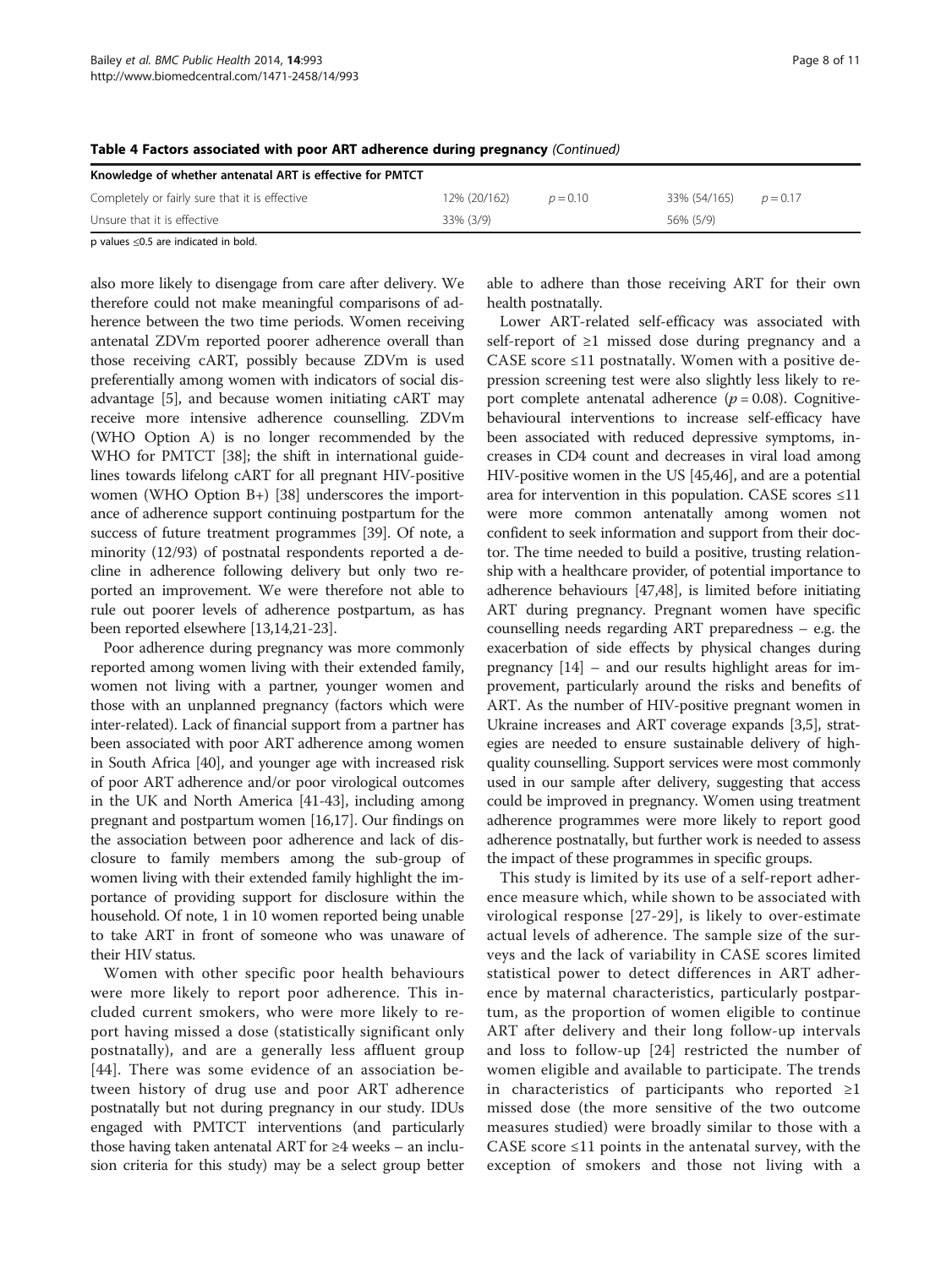| Knowledge of whether antenatal ART is effective for PMTCT |              |            |              |            |
|-----------------------------------------------------------|--------------|------------|--------------|------------|
| Completely or fairly sure that it is effective            | 12% (20/162) | $p = 0.10$ | 33% (54/165) | $p = 0.17$ |
| Unsure that it is effective                               | 33% (3/9)    |            | 56% (5/9)    |            |

Table 4 Factors associated with poor ART adherence during pregnancy (Continued)

p values ≤0.5 are indicated in bold.

also more likely to disengage from care after delivery. We therefore could not make meaningful comparisons of adherence between the two time periods. Women receiving antenatal ZDVm reported poorer adherence overall than those receiving cART, possibly because ZDVm is used preferentially among women with indicators of social disadvantage [[5\]](#page-9-0), and because women initiating cART may receive more intensive adherence counselling. ZDVm (WHO Option A) is no longer recommended by the WHO for PMTCT [[38](#page-10-0)]; the shift in international guidelines towards lifelong cART for all pregnant HIV-positive women (WHO Option B+) [\[38\]](#page-10-0) underscores the importance of adherence support continuing postpartum for the success of future treatment programmes [[39](#page-10-0)]. Of note, a minority (12/93) of postnatal respondents reported a decline in adherence following delivery but only two reported an improvement. We were therefore not able to rule out poorer levels of adherence postpartum, as has been reported elsewhere [[13,14,21-23\]](#page-10-0).

Poor adherence during pregnancy was more commonly reported among women living with their extended family, women not living with a partner, younger women and those with an unplanned pregnancy (factors which were inter-related). Lack of financial support from a partner has been associated with poor ART adherence among women in South Africa [\[40](#page-10-0)], and younger age with increased risk of poor ART adherence and/or poor virological outcomes in the UK and North America [\[41-43\]](#page-10-0), including among pregnant and postpartum women [\[16,17](#page-10-0)]. Our findings on the association between poor adherence and lack of disclosure to family members among the sub-group of women living with their extended family highlight the importance of providing support for disclosure within the household. Of note, 1 in 10 women reported being unable to take ART in front of someone who was unaware of their HIV status.

Women with other specific poor health behaviours were more likely to report poor adherence. This included current smokers, who were more likely to report having missed a dose (statistically significant only postnatally), and are a generally less affluent group [[44](#page-10-0)]. There was some evidence of an association between history of drug use and poor ART adherence postnatally but not during pregnancy in our study. IDUs engaged with PMTCT interventions (and particularly those having taken antenatal ART for  $\geq 4$  weeks – an inclusion criteria for this study) may be a select group better

able to adhere than those receiving ART for their own health postnatally.

Lower ART-related self-efficacy was associated with self-report of ≥1 missed dose during pregnancy and a CASE score  $\leq$ 11 postnatally. Women with a positive depression screening test were also slightly less likely to report complete antenatal adherence ( $p = 0.08$ ). Cognitivebehavioural interventions to increase self-efficacy have been associated with reduced depressive symptoms, increases in CD4 count and decreases in viral load among HIV-positive women in the US [[45,46\]](#page-10-0), and are a potential area for intervention in this population. CASE scores ≤11 were more common antenatally among women not confident to seek information and support from their doctor. The time needed to build a positive, trusting relationship with a healthcare provider, of potential importance to adherence behaviours [\[47,48\]](#page-10-0), is limited before initiating ART during pregnancy. Pregnant women have specific counselling needs regarding ART preparedness – e.g. the exacerbation of side effects by physical changes during pregnancy [[14](#page-10-0)] – and our results highlight areas for improvement, particularly around the risks and benefits of ART. As the number of HIV-positive pregnant women in Ukraine increases and ART coverage expands [\[3,5\]](#page-9-0), strategies are needed to ensure sustainable delivery of highquality counselling. Support services were most commonly used in our sample after delivery, suggesting that access could be improved in pregnancy. Women using treatment adherence programmes were more likely to report good adherence postnatally, but further work is needed to assess the impact of these programmes in specific groups.

This study is limited by its use of a self-report adherence measure which, while shown to be associated with virological response [[27-29\]](#page-10-0), is likely to over-estimate actual levels of adherence. The sample size of the surveys and the lack of variability in CASE scores limited statistical power to detect differences in ART adherence by maternal characteristics, particularly postpartum, as the proportion of women eligible to continue ART after delivery and their long follow-up intervals and loss to follow-up [\[24\]](#page-10-0) restricted the number of women eligible and available to participate. The trends in characteristics of participants who reported  $\geq 1$ missed dose (the more sensitive of the two outcome measures studied) were broadly similar to those with a CASE score  $\leq$ 11 points in the antenatal survey, with the exception of smokers and those not living with a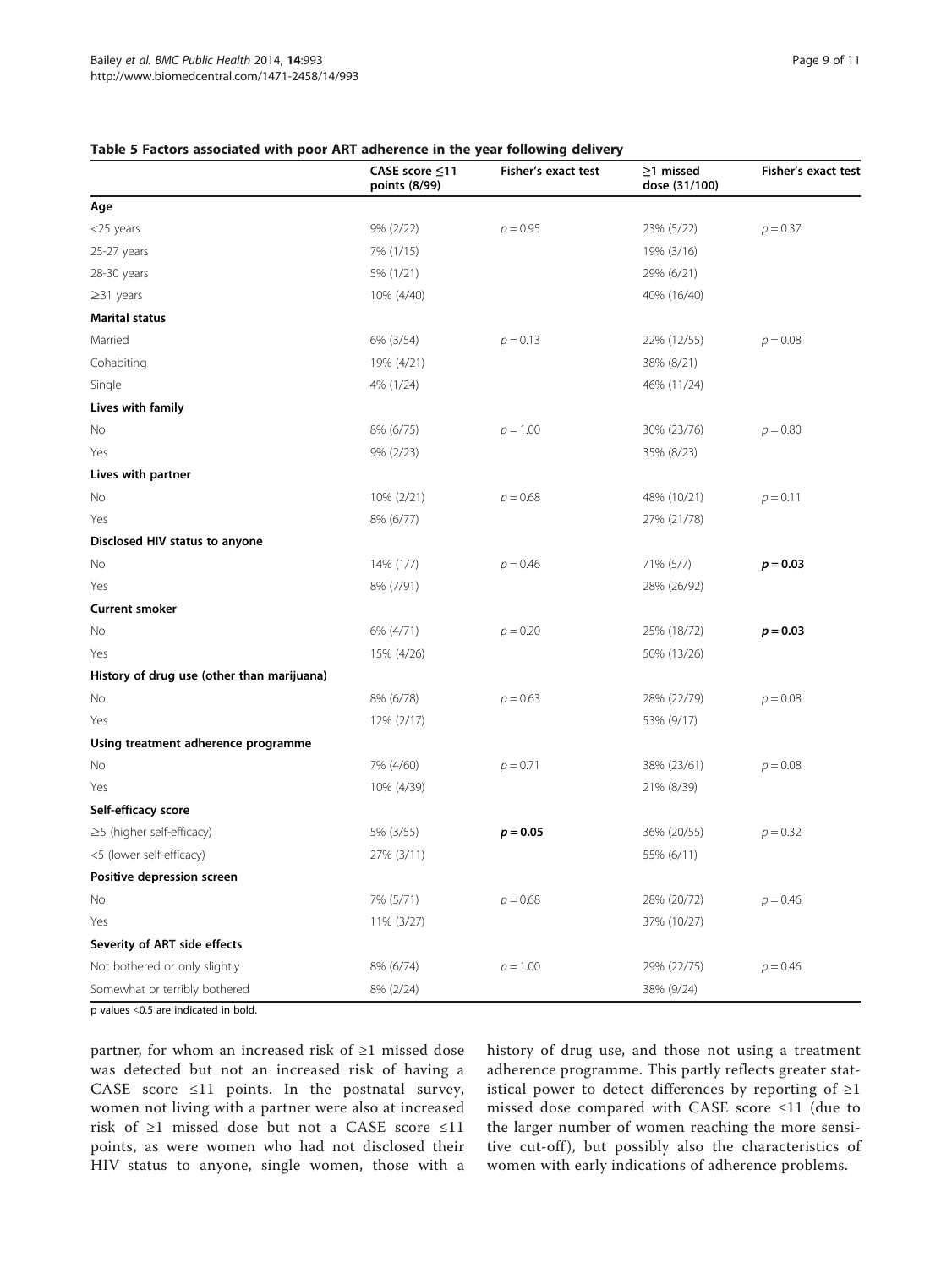|                                            | CASE score ≤11<br>points (8/99) | Fisher's exact test | $\geq$ 1 missed<br>dose (31/100) | Fisher's exact test |
|--------------------------------------------|---------------------------------|---------------------|----------------------------------|---------------------|
| Age                                        |                                 |                     |                                  |                     |
| <25 years                                  | 9% (2/22)                       | $p = 0.95$          | 23% (5/22)                       | $p = 0.37$          |
| 25-27 years                                | 7% (1/15)                       |                     | 19% (3/16)                       |                     |
| 28-30 years                                | 5% (1/21)                       |                     | 29% (6/21)                       |                     |
| $\geq$ 31 years                            | 10% (4/40)                      |                     | 40% (16/40)                      |                     |
| <b>Marital status</b>                      |                                 |                     |                                  |                     |
| Married                                    | 6% (3/54)                       | $p = 0.13$          | 22% (12/55)                      | $p = 0.08$          |
| Cohabiting                                 | 19% (4/21)                      |                     | 38% (8/21)                       |                     |
| Single                                     | 4% (1/24)                       |                     | 46% (11/24)                      |                     |
| Lives with family                          |                                 |                     |                                  |                     |
| No                                         | 8% (6/75)                       | $p = 1.00$          | 30% (23/76)                      | $p = 0.80$          |
| Yes                                        | 9% (2/23)                       |                     | 35% (8/23)                       |                     |
| Lives with partner                         |                                 |                     |                                  |                     |
| No                                         | 10% (2/21)                      | $p = 0.68$          | 48% (10/21)                      | $p = 0.11$          |
| Yes                                        | 8% (6/77)                       |                     | 27% (21/78)                      |                     |
| Disclosed HIV status to anyone             |                                 |                     |                                  |                     |
| No                                         | 14% (1/7)                       | $p = 0.46$          | 71% (5/7)                        | $p = 0.03$          |
| Yes                                        | 8% (7/91)                       |                     | 28% (26/92)                      |                     |
| <b>Current smoker</b>                      |                                 |                     |                                  |                     |
| No                                         | 6% (4/71)                       | $p = 0.20$          | 25% (18/72)                      | $p = 0.03$          |
| Yes                                        | 15% (4/26)                      |                     | 50% (13/26)                      |                     |
| History of drug use (other than marijuana) |                                 |                     |                                  |                     |
| No                                         | 8% (6/78)                       | $p = 0.63$          | 28% (22/79)                      | $p = 0.08$          |
| Yes                                        | 12% (2/17)                      |                     | 53% (9/17)                       |                     |
| Using treatment adherence programme        |                                 |                     |                                  |                     |
| No                                         | 7% (4/60)                       | $p = 0.71$          | 38% (23/61)                      | $p = 0.08$          |
| Yes                                        | 10% (4/39)                      |                     | 21% (8/39)                       |                     |
| Self-efficacy score                        |                                 |                     |                                  |                     |
| $\geq$ 5 (higher self-efficacy)            | 5% (3/55)                       | $p = 0.05$          | 36% (20/55)                      | $p = 0.32$          |
| <5 (lower self-efficacy)                   | 27% (3/11)                      |                     | 55% (6/11)                       |                     |
| Positive depression screen                 |                                 |                     |                                  |                     |
| No                                         | 7% (5/71)                       | $p = 0.68$          | 28% (20/72)                      | $p = 0.46$          |
| Yes                                        | 11% (3/27)                      |                     | 37% (10/27)                      |                     |
| Severity of ART side effects               |                                 |                     |                                  |                     |
| Not bothered or only slightly              | 8% (6/74)                       | $p = 1.00$          | 29% (22/75)                      | $p = 0.46$          |
| Somewhat or terribly bothered              | 8% (2/24)                       |                     | 38% (9/24)                       |                     |

## <span id="page-8-0"></span>Table 5 Factors associated with poor ART adherence in the year following delivery

p values ≤0.5 are indicated in bold.

partner, for whom an increased risk of ≥1 missed dose was detected but not an increased risk of having a CASE score  $\leq 11$  points. In the postnatal survey, women not living with a partner were also at increased risk of ≥1 missed dose but not a CASE score ≤11 points, as were women who had not disclosed their HIV status to anyone, single women, those with a history of drug use, and those not using a treatment adherence programme. This partly reflects greater statistical power to detect differences by reporting of  $\geq 1$ missed dose compared with CASE score ≤11 (due to the larger number of women reaching the more sensitive cut-off), but possibly also the characteristics of women with early indications of adherence problems.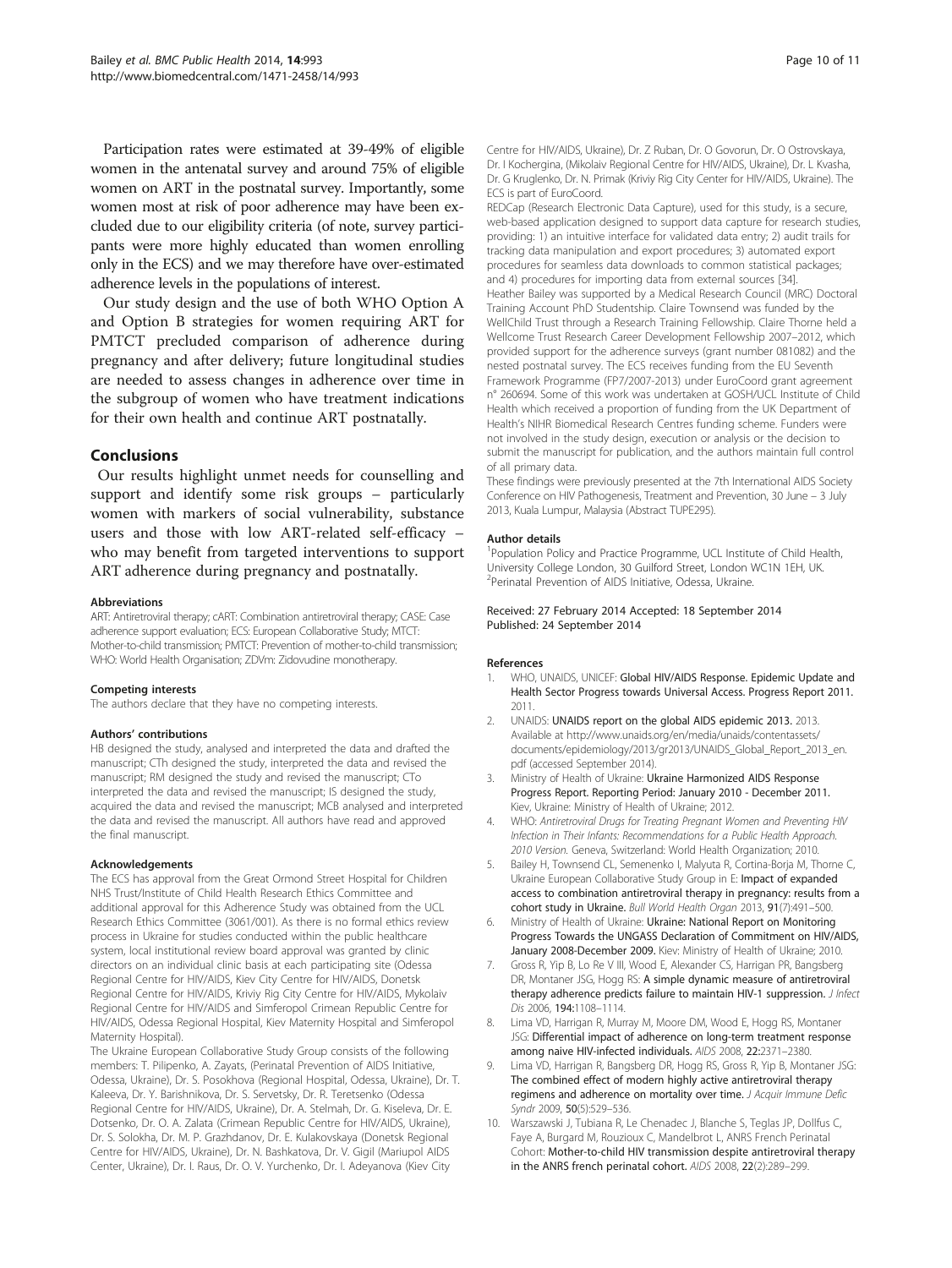<span id="page-9-0"></span>Participation rates were estimated at 39-49% of eligible women in the antenatal survey and around 75% of eligible women on ART in the postnatal survey. Importantly, some women most at risk of poor adherence may have been excluded due to our eligibility criteria (of note, survey participants were more highly educated than women enrolling only in the ECS) and we may therefore have over-estimated adherence levels in the populations of interest.

Our study design and the use of both WHO Option A and Option B strategies for women requiring ART for PMTCT precluded comparison of adherence during pregnancy and after delivery; future longitudinal studies are needed to assess changes in adherence over time in the subgroup of women who have treatment indications for their own health and continue ART postnatally.

## Conclusions

Our results highlight unmet needs for counselling and support and identify some risk groups – particularly women with markers of social vulnerability, substance users and those with low ART-related self-efficacy – who may benefit from targeted interventions to support ART adherence during pregnancy and postnatally.

#### Abbreviations

ART: Antiretroviral therapy; cART: Combination antiretroviral therapy; CASE: Case adherence support evaluation; ECS: European Collaborative Study; MTCT: Mother-to-child transmission; PMTCT: Prevention of mother-to-child transmission; WHO: World Health Organisation; ZDVm: Zidovudine monotherapy.

#### Competing interests

The authors declare that they have no competing interests.

#### Authors' contributions

HB designed the study, analysed and interpreted the data and drafted the manuscript; CTh designed the study, interpreted the data and revised the manuscript; RM designed the study and revised the manuscript; CTo interpreted the data and revised the manuscript; IS designed the study, acquired the data and revised the manuscript; MCB analysed and interpreted the data and revised the manuscript. All authors have read and approved the final manuscript.

#### Acknowledgements

The ECS has approval from the Great Ormond Street Hospital for Children NHS Trust/Institute of Child Health Research Ethics Committee and additional approval for this Adherence Study was obtained from the UCL Research Ethics Committee (3061/001). As there is no formal ethics review process in Ukraine for studies conducted within the public healthcare system, local institutional review board approval was granted by clinic directors on an individual clinic basis at each participating site (Odessa Regional Centre for HIV/AIDS, Kiev City Centre for HIV/AIDS, Donetsk Regional Centre for HIV/AIDS, Kriviy Rig City Centre for HIV/AIDS, Mykolaiv Regional Centre for HIV/AIDS and Simferopol Crimean Republic Centre for HIV/AIDS, Odessa Regional Hospital, Kiev Maternity Hospital and Simferopol Maternity Hospital).

The Ukraine European Collaborative Study Group consists of the following members: T. Pilipenko, A. Zayats, (Perinatal Prevention of AIDS Initiative, Odessa, Ukraine), Dr. S. Posokhova (Regional Hospital, Odessa, Ukraine), Dr. T. Kaleeva, Dr. Y. Barishnikova, Dr. S. Servetsky, Dr. R. Teretsenko (Odessa Regional Centre for HIV/AIDS, Ukraine), Dr. A. Stelmah, Dr. G. Kiseleva, Dr. E. Dotsenko, Dr. O. A. Zalata (Crimean Republic Centre for HIV/AIDS, Ukraine), Dr. S. Solokha, Dr. M. P. Grazhdanov, Dr. E. Kulakovskaya (Donetsk Regional Centre for HIV/AIDS, Ukraine), Dr. N. Bashkatova, Dr. V. Gigil (Mariupol AIDS Center, Ukraine), Dr. I. Raus, Dr. O. V. Yurchenko, Dr. I. Adeyanova (Kiev City

Centre for HIV/AIDS, Ukraine), Dr. Z Ruban, Dr. O Govorun, Dr. O Ostrovskaya, Dr. I Kochergina, (Mikolaiv Regional Centre for HIV/AIDS, Ukraine), Dr. L Kvasha, Dr. G Kruglenko, Dr. N. Primak (Kriviy Rig City Center for HIV/AIDS, Ukraine). The ECS is part of EuroCoord.

REDCap (Research Electronic Data Capture), used for this study, is a secure, web-based application designed to support data capture for research studies, providing: 1) an intuitive interface for validated data entry; 2) audit trails for tracking data manipulation and export procedures; 3) automated export procedures for seamless data downloads to common statistical packages; and 4) procedures for importing data from external sources [[34](#page-10-0)]. Heather Bailey was supported by a Medical Research Council (MRC) Doctoral Training Account PhD Studentship. Claire Townsend was funded by the WellChild Trust through a Research Training Fellowship. Claire Thorne held a Wellcome Trust Research Career Development Fellowship 2007–2012, which provided support for the adherence surveys (grant number 081082) and the nested postnatal survey. The ECS receives funding from the EU Seventh Framework Programme (FP7/2007-2013) under EuroCoord grant agreement n° 260694. Some of this work was undertaken at GOSH/UCL Institute of Child Health which received a proportion of funding from the UK Department of Health's NIHR Biomedical Research Centres funding scheme. Funders were not involved in the study design, execution or analysis or the decision to submit the manuscript for publication, and the authors maintain full control of all primary data.

These findings were previously presented at the 7th International AIDS Society Conference on HIV Pathogenesis, Treatment and Prevention, 30 June – 3 July 2013, Kuala Lumpur, Malaysia (Abstract TUPE295).

### Author details

<sup>1</sup> Population Policy and Practice Programme, UCL Institute of Child Health, University College London, 30 Guilford Street, London WC1N 1EH, UK. 2 Perinatal Prevention of AIDS Initiative, Odessa, Ukraine.

#### Received: 27 February 2014 Accepted: 18 September 2014 Published: 24 September 2014

#### References

- 1. WHO, UNAIDS, UNICEF: Global HIV/AIDS Response. Epidemic Update and Health Sector Progress towards Universal Access. Progress Report 2011. 2011.
- 2. UNAIDS: UNAIDS report on the global AIDS epidemic 2013. 2013. Available at [http://www.unaids.org/en/media/unaids/contentassets/](http://www.unaids.org/en/media/unaids/contentassets/documents/epidemiology/2013/gr2013/UNAIDS_Global_Report_2013_en.pdf) [documents/epidemiology/2013/gr2013/UNAIDS\\_Global\\_Report\\_2013\\_en.](http://www.unaids.org/en/media/unaids/contentassets/documents/epidemiology/2013/gr2013/UNAIDS_Global_Report_2013_en.pdf) [pdf](http://www.unaids.org/en/media/unaids/contentassets/documents/epidemiology/2013/gr2013/UNAIDS_Global_Report_2013_en.pdf) (accessed September 2014).
- 3. Ministry of Health of Ukraine: Ukraine Harmonized AIDS Response Progress Report. Reporting Period: January 2010 - December 2011. Kiev, Ukraine: Ministry of Health of Ukraine; 2012.
- 4. WHO: Antiretroviral Drugs for Treating Pregnant Women and Preventing HIV Infection in Their Infants: Recommendations for a Public Health Approach. 2010 Version. Geneva, Switzerland: World Health Organization; 2010.
- 5. Bailey H, Townsend CL, Semenenko I, Malyuta R, Cortina-Borja M, Thorne C, Ukraine European Collaborative Study Group in E: Impact of expanded access to combination antiretroviral therapy in pregnancy: results from a cohort study in Ukraine. Bull World Health Organ 2013, 91(7):491–500.
- 6. Ministry of Health of Ukraine: Ukraine: National Report on Monitoring Progress Towards the UNGASS Declaration of Commitment on HIV/AIDS, January 2008-December 2009. Kiev: Ministry of Health of Ukraine; 2010.
- 7. Gross R, Yip B, Lo Re V III, Wood E, Alexander CS, Harrigan PR, Bangsberg DR, Montaner JSG, Hogg RS: A simple dynamic measure of antiretroviral therapy adherence predicts failure to maintain HIV-1 suppression. J Infect Dis 2006, 194:1108–1114.
- 8. Lima VD, Harrigan R, Murray M, Moore DM, Wood E, Hogg RS, Montaner JSG: Differential impact of adherence on long-term treatment response among naive HIV-infected individuals. AIDS 2008, 22:2371–2380.
- 9. Lima VD, Harrigan R, Bangsberg DR, Hogg RS, Gross R, Yip B, Montaner JSG: The combined effect of modern highly active antiretroviral therapy regimens and adherence on mortality over time. J Acquir Immune Defic Syndr 2009, 50(5):529–536.
- 10. Warszawski J, Tubiana R, Le Chenadec J, Blanche S, Teglas JP, Dollfus C, Faye A, Burgard M, Rouzioux C, Mandelbrot L, ANRS French Perinatal Cohort: Mother-to-child HIV transmission despite antiretroviral therapy in the ANRS french perinatal cohort. AIDS 2008, 22(2):289–299.